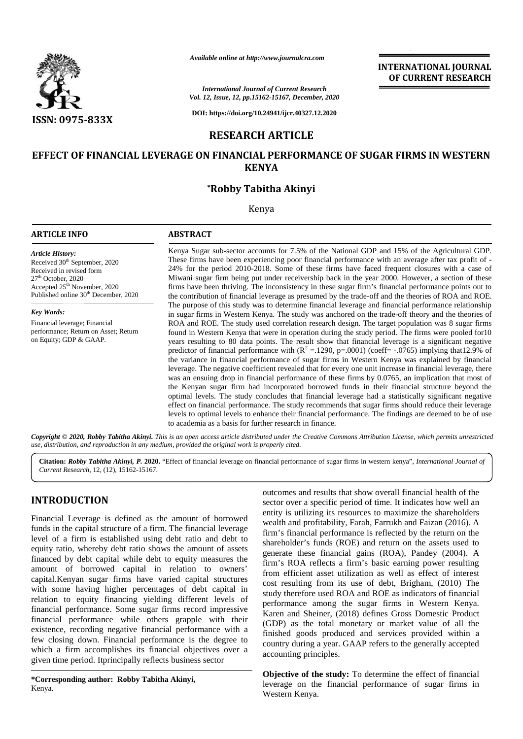

*Available online at http://www.journalcra.com http://www.journalcra.com*

*International Journal of Current Research Vol. 12, Issue, 12, pp.15162-15167, December, 2020* International Journal of Current Research<br>
Vol. 12, Issue, 12, pp.15162-15167, December, 2020<br>
DOI: https://doi.org/10.24941/ijcr.40327.12.2020

**DOI: https://doi.org/10.24941/ijcr.40327.12.2020**

# **RESEARCH ARTICLE**

# EFFECT OF FINANCIAL LEVERAGE ON FINANCIAL PERFORMANCE OF SUGAR FIRMS IN WESTERN<br>KENYA<br>\*Robby Tabitha Akinyi **KENYA**

# **\*Robby Tabitha Akinyi**

Kenya

# **ARTICLE INFO ABSTRACT ARTICLE ABSTRACT**Kenya Sugar sub-sector accounts for 7.5% of the National GDP and 15% of the Agricultural GDP. These firms have been experiencing poor financial performance with an average after tax profit of - 24% for the period 2010-2018. Some of these firms have faced frequent closures with a case of Miwani sugar firm being put under receivership back in the year 2000. However, a section of these firms have been thriving. The inconsistency in these sugar firm's financial performance points out to the contribution of financial leverage as presumed by the trade-off and the theories of ROA and ROE. The purpose of this study was to determine financial leverage and financial performance relationship in sugar firms in Western Kenya. The study was anchored on the trade-off theory and the theories of ROA and ROE. The study used correlation research design. The target population was 8 sugar firms found in Western Kenya that were in operation during the study period. The firms were pooled for10 years resulting to 80 data points. The result show that financial leverage is a significant negative predictor of financial performance with  $(R^2 = 1290, p = .0001)$  (coeff= -.0765) implying that12.9% of *Article History:* Received 30<sup>th</sup> September, 2020 Received in revised form  $27<sup>th</sup>$  October, 2020 Accepted  $25<sup>th</sup>$  November, 2020 Published online 30<sup>th</sup> December, 2020 *Key Words:* Financial leverage; Financial performance; Return on Asset; Return on Equity; GDP & GAAP. Kenya Sugar sub-sector accounts for 7.5% of the National GDP and 15% of the Agricultural G<br>These firms have been experiencing poor financial performance with an average after tax profit<br>24% for the period 2010-2018. Some o the contribution of financial leverage as presumed by the trade-off and the theories of ROA and ROE.<br>The purpose of this study was to determine financial leverage and financial performance relationship<br>in sugar firms in We **PERIMENT INTERNATIONAL PERFORMATIONAL PERFORMATIONAL PERFORMATIONAL PERFORMATIONAL PERFORMATION<br>
2013. The Context of the Context of the Context of the Context of the Context of the Context of the Context of the Context**

effect on financial performance. The study recommends that sugar firms should reduce their leverage levels to optimal levels to enhance their financial performance. The findings are deemed to be of use to academia as a basis for further research in finance. found in Western Kenya that were in operation during the study period. The firms were pooled for1C years resulting to 80 data points. The result show that financial leverage is a significant negative predictor of financia

the variance in financial performance of sugar firms in Western Kenya was explained by financial leverage. The negative coefficient revealed that for every one unit increase in financial leverage, there was an ensuing drop in financial performance of these firms by 0.0765, an implication that most of the Kenyan sugar firm had incorporated borrowed funds in their financial structure beyond the optimal levels. The study concludes that financial leverage had a statistically significant negative

**INTERNATIONAL JOURNAL OF CURRENT RESEARCH**

**Copyright © 2020, Robby Tabitha Akinyi.** This is an open access article distributed under the Creative Commons Attribution License, which permits unrestricted<br>use, distribution, and reproduction in any medium, provided th *use, distribution, and reproduction in any medium, provided the original work is properly cited.*

**Citation:** *Robby Tabitha Akinyi, P.* **2020.** "Effect of financial leverage on financial performance of sugar firms in western kenya", *International Journal of* **2020.**"Effect *Current Research*, 12, (12), 15162-15167.

# **INTRODUCTION INTRODUCTION**

Financial Leverage is defined as the amount of borrowed funds in the capital structure of a firm. The financial leverage level of a firm is established using debt ratio and debt to share equity ratio, whereby debt ratio shows the amount of assets financed by debt capital while debt to equity measures the amount of borrowed capital in relation to owners'  $\frac{1}{r}$ capital.Kenyan sugar firms have varied capital structures with some having higher percentages of debt capital in relation to equity financing yielding different levels of  $\frac{d}{d}$ financial performance. Some sugar firms record impressive financial performance while others grapple with their existence, recording negative financial performance with a few closing down. Financial performance is the degree to  $\frac{1}{2}$ which a firm accomplishes its financial objectives over a given time period. Itprincipally reflects business sector Financial Leverage is defined as the amount of borrowed<br>funds in the capital structure of a firm. The financial leverage<br>level of a firm is established using debt ratio and debt to<br>equity ratio, whereby debt ratio shows th capital.Kenyan sugar firms have varied capital structures<br>with some having higher percentages of debt capital in<br>relation to equity financial yielding different levels of<br>financial performance. Some sugar firms record imp financial performance while others grapple with the existence, recording negative financial performance with few closing down. Financial performance is the degree which a firm accomplishes its financial objectives over giv

**\*Corresponding author: Robby Tabitha Akinyi, \*Corresponding Robby Tabitha Akinyi,**Kenya.

outcomes and results that show overall financial health of the sector over a specific period of time. It indicates how well an entity is utilizing its resources to maximize the shareholders wealth and profitability, Farah, Farrukh and Faizan (2016). A firm's financial performance is reflected by the return on the shareholder's funds (ROE) and return on the assets used to generate these financial gains (ROA), Pandey (2004). A firm's ROA reflects a firm's basic earning power resulting from efficient asset utilization as well as effect of interest cost resulting from its use of debt, Brigham, (2010) The study therefore used ROA and ROE as indicators of financial performance among the sugar firms in Western Kenya. Karen and Sheiner, (2018) defines Gross Domestic Product (GDP) as the total monetary or market value of all the finished goods produced and services provided within a country during a year. GAAP refers to the generally accepted accounting principles. INTRODUCTION<br>
EFFORM outcomes and results that show overall financial health of the<br>
EFFORM exact over a specific period of time. It indicates how well an<br>
thus in the capital structure of a firm. The financial leverage<br>
t

**Objective of the study:** To determine the effect of financial leverage on the financial performance of sugar firms in Western Kenya.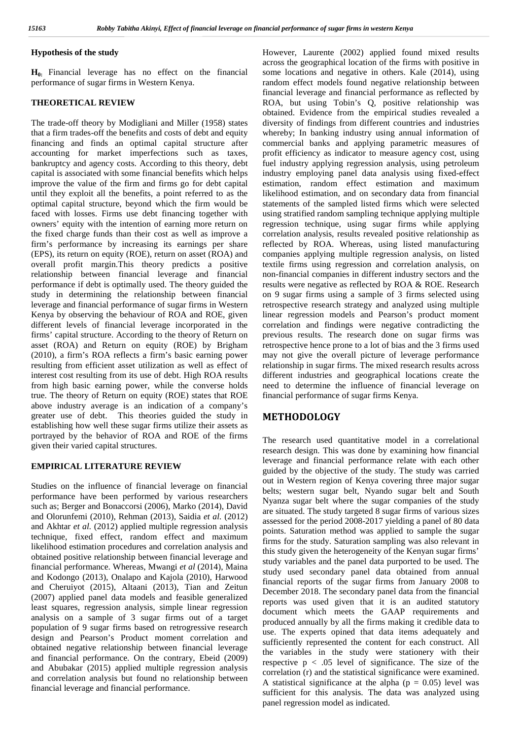## **Hypothesis of the study**

**H0:** Financial leverage has no effect on the financial performance of sugar firms in Western Kenya.

## **THEORETICAL REVIEW**

The trade-off theory by Modigliani and Miller (1958) states that a firm trades-off the benefits and costs of debt and equity financing and finds an optimal capital structure after accounting for market imperfections such as taxes, bankruptcy and agency costs. According to this theory, debt capital is associated with some financial benefits which helps improve the value of the firm and firms go for debt capital until they exploit all the benefits, a point referred to as the optimal capital structure, beyond which the firm would be faced with losses. Firms use debt financing together with owners' equity with the intention of earning more return on the fixed charge funds than their cost as well as improve a firm's performance by increasing its earnings per share (EPS), its return on equity (ROE), return on asset (ROA) and overall profit margin.This theory predicts a positive relationship between financial leverage and financial performance if debt is optimally used. The theory guided the study in determining the relationship between financial leverage and financial performance of sugar firms in Western Kenya by observing the behaviour of ROA and ROE, given different levels of financial leverage incorporated in the firms' capital structure. According to the theory of Return on asset (ROA) and Return on equity (ROE) by Brigham (2010), a firm's ROA reflects a firm's basic earning power resulting from efficient asset utilization as well as effect of interest cost resulting from its use of debt. High ROA results from high basic earning power, while the converse holds true. The theory of Return on equity (ROE) states that ROE above industry average is an indication of a company's greater use of debt. This theories guided the study in establishing how well these sugar firms utilize their assets as portrayed by the behavior of ROA and ROE of the firms given their varied capital structures.

## **EMPIRICAL LITERATURE REVIEW**

Studies on the influence of financial leverage on financial performance have been performed by various researchers such as; Berger and Bonaccorsi (2006), Marko (2014), David and Olorunfemi (2010), Rehman (2013), Saidia *et al.* (2012) and Akhtar *et al.* (2012) applied multiple regression analysis technique, fixed effect, random effect and maximum likelihood estimation procedures and correlation analysis and obtained positive relationship between financial leverage and financial performance. Whereas, Mwangi *et al* (2014), Maina and Kodongo (2013), Onalapo and Kajola (2010), Harwood and Cheruiyot (2015), Altaani (2013), Tian and Zeitun (2007) applied panel data models and feasible generalized least squares, regression analysis, simple linear regression analysis on a sample of 3 sugar firms out of a target population of 9 sugar firms based on retrogressive research design and Pearson's Product moment correlation and obtained negative relationship between financial leverage and financial performance. On the contrary, Ebeid (2009) and Abubakar (2015) applied multiple regression analysis and correlation analysis but found no relationship between financial leverage and financial performance.

However, Laurente (2002) applied found mixed results across the geographical location of the firms with positive in some locations and negative in others. Kale (2014), using random effect models found negative relationship between financial leverage and financial performance as reflected by ROA, but using Tobin's Q, positive relationship was obtained. Evidence from the empirical studies revealed a diversity of findings from different countries and industries whereby; In banking industry using annual information of commercial banks and applying parametric measures of profit efficiency as indicator to measure agency cost, using fuel industry applying regression analysis, using petroleum industry employing panel data analysis using fixed-effect estimation, random effect estimation and maximum likelihood estimation, and on secondary data from financial statements of the sampled listed firms which were selected using stratified random sampling technique applying multiple regression technique, using sugar firms while applying correlation analysis, results revealed positive relationship as reflected by ROA. Whereas, using listed manufacturing companies applying multiple regression analysis, on listed textile firms using regression and correlation analysis, on non-financial companies in different industry sectors and the results were negative as reflected by ROA & ROE. Research on 9 sugar firms using a sample of 3 firms selected using retrospective research strategy and analyzed using multiple linear regression models and Pearson's product moment correlation and findings were negative contradicting the previous results. The research done on sugar firms was retrospective hence prone to a lot of bias and the 3 firms used may not give the overall picture of leverage performance relationship in sugar firms. The mixed research results across different industries and geographical locations create the need to determine the influence of financial leverage on financial performance of sugar firms Kenya.

## **METHODOLOGY**

The research used quantitative model in a correlational research design. This was done by examining how financial leverage and financial performance relate with each other guided by the objective of the study. The study was carried out in Western region of Kenya covering three major sugar belts; western sugar belt, Nyando sugar belt and South Nyanza sugar belt where the sugar companies of the study are situated. The study targeted 8 sugar firms of various sizes assessed for the period 2008-2017 yielding a panel of 80 data points. Saturation method was applied to sample the sugar firms for the study. Saturation sampling was also relevant in this study given the heterogeneity of the Kenyan sugar firms' study variables and the panel data purported to be used. The study used secondary panel data obtained from annual financial reports of the sugar firms from January 2008 to December 2018. The secondary panel data from the financial reports was used given that it is an audited statutory document which meets the GAAP requirements and produced annually by all the firms making it credible data to use. The experts opined that data items adequately and sufficiently represented the content for each construct. All the variables in the study were stationery with their respective  $p < .05$  level of significance. The size of the correlation (r) and the statistical significance were examined. A statistical significance at the alpha ( $p = 0.05$ ) level was sufficient for this analysis. The data was analyzed using panel regression model as indicated.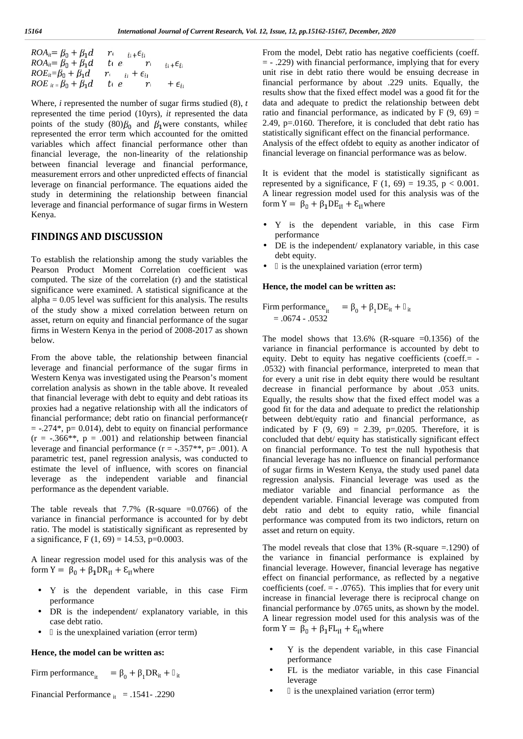$$
ROAii = \beta0 + \beta1d \nROAii = \beta0 + \beta1d \nROEii = \beta0 + \beta1d \nROEii = \beta0 + \beta1d \nROEii = \beta0 + \beta1d \n ti = c \n ri + \epsilonii \n + \epsilonii
$$

Where, *i* represented the number of sugar firms studied (8), *t* represented the time period (10yrs)*, it* represented the data points of the study  $(80)$  $\beta_0$  and  $\beta_1$ were constants, while  $\epsilon$ represented the error term which accounted for the omitted variables which affect financial performance other than financial leverage, the non-linearity of the relationship between financial leverage and financial performance, measurement errors and other unpredicted effects of financial leverage on financial performance. The equations aided the study in determining the relationship between financial leverage and financial performance of sugar firms in Western Kenya.

# **FINDINGS AND DISCUSSION**

To establish the relationship among the study variables the Pearson Product Moment Correlation coefficient was computed. The size of the correlation (r) and the statistical significance were examined. A statistical significance at the  $alpha = 0.05$  level was sufficient for this analysis. The results of the study show a mixed correlation between return on asset, return on equity and financial performance of the sugar firms in Western Kenya in the period of 2008-2017 as shown below.

From the above table, the relationship between financial leverage and financial performance of the sugar firms in Western Kenya was investigated using the Pearson's moment correlation analysis as shown in the table above. It revealed that financial leverage with debt to equity and debt ratioas its proxies had a negative relationship with all the indicators of financial performance; debt ratio on financial performance(r  $= -0.274$ <sup>\*</sup>, p= 0.014), debt to equity on financial performance  $(r = -.366**, p = .001)$  and relationship between financial leverage and financial performance  $(r = -.357**, p = .001)$ . A parametric test, panel regression analysis, was conducted to estimate the level of influence, with scores on financial leverage as the independent variable and financial performance as the dependent variable.

The table reveals that  $7.7\%$  (R-square  $=0.0766$ ) of the variance in financial performance is accounted for by debt ratio. The model is statistically significant as represented by a significance, F  $(1, 69) = 14.53$ , p=0.0003.

A linear regression model used for this analysis was of the form  $Y = \beta_0 + \beta_1 DR_{it} + \varepsilon_{it}$  where

- Y is the dependent variable, in this case Firm performance
- DR is the independent/ explanatory variable, in this case debt ratio.
- ) is the unexplained variation (error term)

#### **Hence, the model can be written as:**

Firm performance<sub>it</sub> =  $_0 + 1DR_{it} + it$ 

Financial Performance  $_{it}$  = .1541- .2290

From the model, Debt ratio has negative coefficients (coeff. = - .229) with financial performance, implying that for every unit rise in debt ratio there would be ensuing decrease in financial performance by about .229 units. Equally, the results show that the fixed effect model was a good fit for the data and adequate to predict the relationship between debt ratio and financial performance, as indicated by  $F(9, 69) =$ 2.49, p=.0160. Therefore, it is concluded that debt ratio has statistically significant effect on the financial performance. Analysis of the effect ofdebt to equity as another indicator of financial leverage on financial performance was as below.

It is evident that the model is statistically significant as represented by a significance, F  $(1, 69) = 19.35$ , p < 0.001. A linear regression model used for this analysis was of the form  $Y = \beta_0 + \beta_1 DE_{11} + \varepsilon_{11}$  where

- Y is the dependent variable, in this case Firm performance
- DE is the independent/ explanatory variable, in this case debt equity.
	- is the unexplained variation (error term)

## **Hence, the model can be written as:**

Firm performance<sub>it</sub> =  $_0 + 1DE_{it} + i$  $=.0674-.0532$ 

The model shows that  $13.6\%$  (R-square  $=0.1356$ ) of the variance in financial performance is accounted by debt to equity. Debt to equity has negative coefficients (coeff.= - .0532) with financial performance, interpreted to mean that for every a unit rise in debt equity there would be resultant decrease in financial performance by about .053 units. Equally, the results show that the fixed effect model was a good fit for the data and adequate to predict the relationship between debt/equity ratio and financial performance, as indicated by F  $(9, 69) = 2.39$ , p=.0205. Therefore, it is concluded that debt/ equity has statistically significant effect on financial performance. To test the null hypothesis that financial leverage has no influence on financial performance of sugar firms in Western Kenya, the study used panel data regression analysis. Financial leverage was used as the mediator variable and financial performance as the dependent variable. Financial leverage was computed from debt ratio and debt to equity ratio, while financial performance was computed from its two indictors, return on asset and return on equity.

The model reveals that close that  $13\%$  (R-square = 1290) of the variance in financial performance is explained by financial leverage. However, financial leverage has negative effect on financial performance, as reflected by a negative coefficients (coef.  $= -0.0765$ ). This implies that for every unit increase in financial leverage there is reciprocal change on financial performance by .0765 units, as shown by the model. A linear regression model used for this analysis was of the form  $Y = \beta_0 + \beta_1 FL_{it} + E_{it}$  where

- Y is the dependent variable, in this case Financial performance
- FL is the mediator variable, in this case Financial leverage
	- is the unexplained variation (error term)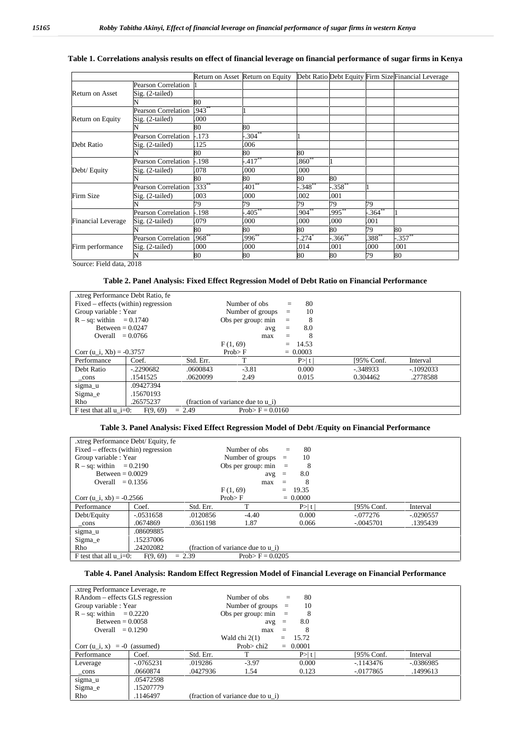## **Table 1. Correlations analysis results on effect of financial leverage on financial performance of sugar firms in Kenya**

|                           |                            |            | Return on Asset Return on Equity |             |                      |          | Debt Ratio Debt Equity Firm Size Financial Leverage |
|---------------------------|----------------------------|------------|----------------------------------|-------------|----------------------|----------|-----------------------------------------------------|
|                           | Pearson Correlation        |            |                                  |             |                      |          |                                                     |
| <b>Return on Asset</b>    | $Sig. (2-tailed)$          |            |                                  |             |                      |          |                                                     |
|                           |                            | 80         |                                  |             |                      |          |                                                     |
|                           | <b>Pearson Correlation</b> | $.943***$  |                                  |             |                      |          |                                                     |
| Return on Equity          | $Sig. (2-tailed)$          | .000       |                                  |             |                      |          |                                                     |
|                           |                            | 80         | 80                               |             |                      |          |                                                     |
|                           | <b>Pearson Correlation</b> | $-.173$    | $.304**$                         |             |                      |          |                                                     |
| Debt Ratio                | Sig. (2-tailed)            | 125        | .006                             |             |                      |          |                                                     |
|                           |                            | 80         | 80                               | 80          |                      |          |                                                     |
|                           | <b>Pearson Correlation</b> | $-.198$    | $.417**$                         | $.860**$    |                      |          |                                                     |
| Debt/ Equity              | Sig. (2-tailed)            | .078       | .000                             | .000        |                      |          |                                                     |
|                           |                            | 80         | 80                               | 80          | 80                   |          |                                                     |
| Firm Size                 | <b>Pearson Correlation</b> | $333^{**}$ | $401^{**}$                       | $-0.348***$ | $-358$ **            |          |                                                     |
|                           | Sig. (2-tailed)            | .003       | .000                             | .002        | .001                 |          |                                                     |
|                           |                            | 79         | 79                               | 79          | 79                   | 79       |                                                     |
| <b>Financial Leverage</b> | <b>Pearson Correlation</b> | -.198      | $.405***$                        | $.904**$    | .995**               | $.364**$ |                                                     |
|                           | $Sig. (2-tailed)$          | .079       | .000                             | .000        | .000                 | .001     |                                                     |
|                           |                            | 80         | 80                               | 80          | 80                   | 79       | 80                                                  |
| Firm performance          | <b>Pearson Correlation</b> | $.968**$   | $.996**$                         | $-.274$ $*$ | $-366$ <sup>**</sup> | $388***$ | $-.357$ **                                          |
|                           | $Sig. (2-tailed)$          | .000       | .000                             | .014        | .001                 | .000     | .001                                                |
|                           |                            | 80         | 80                               | 80          | 80                   | 79       | 80                                                  |

Source: Field data, 2018

#### **Table 2. Panel Analysis: Fixed Effect Regression Model of Debt Ratio on Financial Performance**

| .xtreg Performance Debt Ratio, fe                                       |            |           |                    |  |            |             |            |  |
|-------------------------------------------------------------------------|------------|-----------|--------------------|--|------------|-------------|------------|--|
| Fixed – effects (within) regression                                     |            |           | Number of obs      |  | 80         |             |            |  |
| Group variable : Year                                                   |            |           | Number of groups   |  | 10         |             |            |  |
| $R - sq$ : within = 0.1740                                              |            |           | Obs per group: min |  | 8          |             |            |  |
| Between = $0.0247$                                                      |            |           | avg                |  | 8.0        |             |            |  |
| Overall $= 0.0766$                                                      |            |           | max                |  | 8          |             |            |  |
|                                                                         |            |           | F(1, 69)           |  | $= 14.53$  |             |            |  |
| Corr (u i, Xb) = $-0.3757$                                              |            | Prob>F    |                    |  | $= 0.0003$ |             |            |  |
| Performance                                                             | Coef.      | Std. Err. |                    |  | P >  t     | [95% Conf.  | Interval   |  |
| Debt Ratio                                                              | $-2290682$ | .0600843  | $-3.81$            |  | 0.000      | $-0.348933$ | $-1092033$ |  |
| $_{\rm cons}$                                                           | .1541525   | .0620099  | 2.49               |  | 0.015      | 0.304462    | .2778588   |  |
| sigma_u                                                                 | .09427394  |           |                    |  |            |             |            |  |
| Sigma e                                                                 | .15670193  |           |                    |  |            |             |            |  |
| .26575237<br>R <sub>ho</sub><br>(fraction of variance due to u i)       |            |           |                    |  |            |             |            |  |
| F test that all $u = 0$ :<br>F(9, 69)<br>Prob> $F = 0.0160$<br>$= 2.49$ |            |           |                    |  |            |             |            |  |

## **Table 3. Panel Analysis: Fixed Effect Regression Model of Debt /Equity on Financial Performance**

| .xtreg Performance Debt/ Equity, fe                                    |             |           |                                   |     |            |             |             |
|------------------------------------------------------------------------|-------------|-----------|-----------------------------------|-----|------------|-------------|-------------|
| Fixed – effects (within) regression                                    |             |           | Number of obs                     |     | 80<br>$=$  |             |             |
| Group variable : Year                                                  |             |           | Number of groups $=$              |     | 10         |             |             |
| $R - sq$ : within $= 0.2190$                                           |             |           | Obs per group: $min =$            |     | 8          |             |             |
| Between = $0.0029$                                                     |             |           | 8.0<br>avg<br>$\equiv$            |     |            |             |             |
| Overall $= 0.1356$                                                     |             |           | max                               |     | 8          |             |             |
|                                                                        |             |           | F(1, 69)                          | $=$ | 19.35      |             |             |
| Corr (u i, xb) = $-0.2566$                                             |             |           | Prob>F                            |     | $= 0.0000$ |             |             |
| Performance                                                            | Coef.       | Std. Err. | T                                 |     | P>1        | [95% Conf.  | Interval    |
| Debt/Equity                                                            | $-.0531658$ | .0120856  | $-4.40$                           |     | 0.000      | $-.077276$  | $-.0290557$ |
| $_{\rm cons}$                                                          | .0674869    | .0361198  | 1.87                              |     | 0.066      | $-.0045701$ | .1395439    |
| sigma_u                                                                | .08609885   |           |                                   |     |            |             |             |
| Sigma e                                                                | .15237006   |           |                                   |     |            |             |             |
| Rho                                                                    | .24202082   |           | (fraction of variance due to u i) |     |            |             |             |
| Prob> $F = 0.0205$<br>F(9, 69)<br>F test that all $u$ i=0:<br>$= 2.39$ |             |           |                                   |     |            |             |             |

## **Table 4. Panel Analysis: Random Effect Regression Model of Financial Leverage on Financial Performance**

| xtreg Performance Leverage, re  |              |                                   |                      |     |            |              |           |
|---------------------------------|--------------|-----------------------------------|----------------------|-----|------------|--------------|-----------|
| RAndom – effects GLS regression |              |                                   | Number of obs        | $=$ | 80         |              |           |
| Group variable : Year           |              |                                   | Number of groups $=$ |     | 10         |              |           |
| $R - sq$ : within = 0.2220      |              | Obs per group: $min =$<br>8       |                      |     |            |              |           |
| Between $= 0.0058$              |              |                                   | $avg =$              |     | 8.0        |              |           |
| Overall $= 0.1290$              |              |                                   | max                  |     | 8          |              |           |
|                                 |              |                                   | Wald chi $2(1)$      | $=$ | 15.72      |              |           |
| Corr $(u_i, x) = -0$ (assumed)  |              |                                   | Prob $>$ chi2        |     | $= 0.0001$ |              |           |
| Performance                     | Coef.        | Std. Err.                         | T                    |     | P>1        | [95% Conf.   | Interval  |
| Leverage                        | $-0.0765231$ | .019286                           | $-3.97$              |     | 0.000      | -.1143476    | -.0386985 |
| _cons                           | .0660874     | .0427936                          | 1.54                 |     | 0.123      | $-0.0177865$ | .1499613  |
| sigma u                         | .05472598    |                                   |                      |     |            |              |           |
| Sigma e                         | .15207779    |                                   |                      |     |            |              |           |
| Rho                             | .1146497     | (fraction of variance due to u i) |                      |     |            |              |           |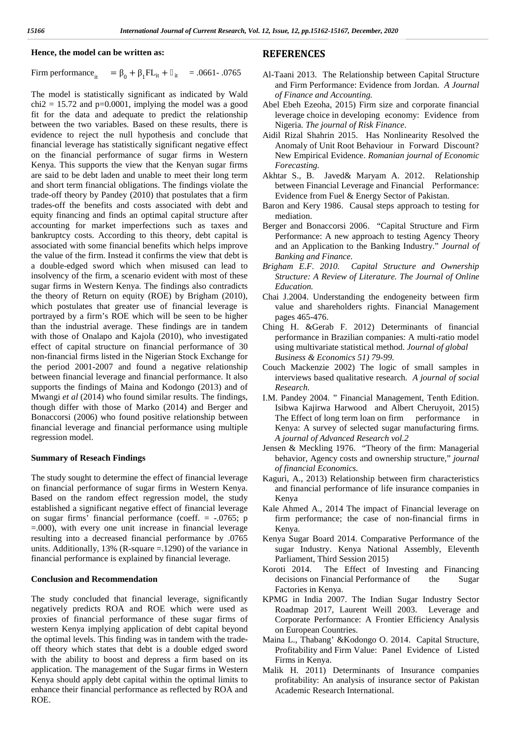#### **Hence, the model can be written as:**

Firm performance<sub>it</sub> =  $_0 + _1FL_{it} + _{it} = .0661 - .0765$ 

The model is statistically significant as indicated by Wald  $chi2 = 15.72$  and  $p=0.0001$ , implying the model was a good fit for the data and adequate to predict the relationship between the two variables. Based on these results, there is evidence to reject the null hypothesis and conclude that financial leverage has statistically significant negative effect on the financial performance of sugar firms in Western Kenya. This supports the view that the Kenyan sugar firms are said to be debt laden and unable to meet their long term and short term financial obligations. The findings violate the trade-off theory by Pandey (2010) that postulates that a firm trades-off the benefits and costs associated with debt and equity financing and finds an optimal capital structure after accounting for market imperfections such as taxes and bankruptcy costs. According to this theory, debt capital is associated with some financial benefits which helps improve the value of the firm. Instead it confirms the view that debt is a double-edged sword which when misused can lead to insolvency of the firm, a scenario evident with most of these sugar firms in Western Kenya. The findings also contradicts the theory of Return on equity (ROE) by Brigham (2010), which postulates that greater use of financial leverage is portrayed by a firm's ROE which will be seen to be higher than the industrial average. These findings are in tandem with those of Onalapo and Kajola (2010), who investigated effect of capital structure on financial performance of 30 non-financial firms listed in the Nigerian Stock Exchange for the period 2001-2007 and found a negative relationship between financial leverage and financial performance. It also supports the findings of Maina and Kodongo (2013) and of Mwangi *et al* (2014) who found similar results. The findings, though differ with those of Marko (2014) and Berger and Bonaccorsi (2006) who found positive relationship between financial leverage and financial performance using multiple regression model.

#### **Summary of Reseach Findings**

The study sought to determine the effect of financial leverage on financial performance of sugar firms in Western Kenya. Based on the random effect regression model, the study established a significant negative effect of financial leverage on sugar firms' financial performance (coeff. = -.0765; p =.000), with every one unit increase in financial leverage resulting into a decreased financial performance by .0765 units. Additionally, 13% (R-square =.1290) of the variance in financial performance is explained by financial leverage.

#### **Conclusion and Recommendation**

The study concluded that financial leverage, significantly negatively predicts ROA and ROE which were used as proxies of financial performance of these sugar firms of western Kenya implying application of debt capital beyond the optimal levels. This finding was in tandem with the trade off theory which states that debt is a double edged sword with the ability to boost and depress a firm based on its application. The management of the Sugar firms in Western Kenya should apply debt capital within the optimal limits to enhance their financial performance as reflected by ROA and ROE.

## **REFERENCES**

- Al-Taani 2013. The Relationship between Capital Structure and Firm Performance: Evidence from Jordan. *A Journal of Finance and Accounting.*
- Abel Ebeh Ezeoha, 2015) Firm size and corporate financial leverage choice in developing economy: Evidence from Nigeria*. The journal of Risk Finance*.
- Aidil Rizal Shahrin 2015. Has Nonlinearity Resolved the Anomaly of Unit Root Behaviour in Forward Discount? New Empirical Evidence. *Romanian journal of Economic Forecasting.*
- Akhtar S., B. Javed& Maryam A. 2012. Relationship between Financial Leverage and Financial Performance: Evidence from Fuel & Energy Sector of Pakistan.
- Baron and Kery 1986. Causal steps approach to testing for mediation.
- Berger and Bonaccorsi 2006. "Capital Structure and Firm Performance: A new approach to testing Agency Theory and an Application to the Banking Industry." *Journal of Banking and Finance.*
- *Brigham E.F. 2010. Capital Structure and Ownership Structure: A Review of Literature. The Journal of Online Education.*
- Chai J.2004. Understanding the endogeneity between firm value and shareholders rights. Financial Management pages 465-476.
- Ching H. &Gerab F. 2012) Determinants of financial performance in Brazilian companies: A multi-ratio model using multivariate statistical method. *Journal of global Business & Economics 51) 79-99.*
- Couch Mackenzie 2002) The logic of small samples in interviews based qualitative research. *A journal of social Research.*
- I.M. Pandey 2004. " Financial Management, Tenth Edition. Isibwa Kajirwa Harwood and Albert Cheruyoit, 2015) The Effect of long term loan on firm performance in Kenya: A survey of selected sugar manufacturing firms*. A journal of Advanced Research vol.2*
- Jensen & Meckling 1976. "Theory of the firm: Managerial behavior, Agency costs and ownership structure," *journal of financial Economics.*
- Kaguri, A., 2013) Relationship between firm characteristics and financial performance of life insurance companies in Kenya
- Kale Ahmed A., 2014 The impact of Financial leverage on firm performance; the case of non-financial firms in Kenya.
- Kenya Sugar Board 2014. Comparative Performance of the sugar Industry. Kenya National Assembly, Eleventh Parliament, Third Session 2015)
- Koroti 2014. The Effect of Investing and Financing decisions on Financial Performance of the Sugar Factories in Kenya.
- KPMG in India 2007. The Indian Sugar Industry Sector Roadmap 2017, Laurent Weill 2003. Leverage and Corporate Performance: A Frontier Efficiency Analysis on European Countries.
- Maina L., Thabang' &Kodongo O. 2014. Capital Structure, Profitability and Firm Value: Panel Evidence of Listed Firms in Kenya.
- Malik H. 2011) Determinants of Insurance companies profitability: An analysis of insurance sector of Pakistan Academic Research International.